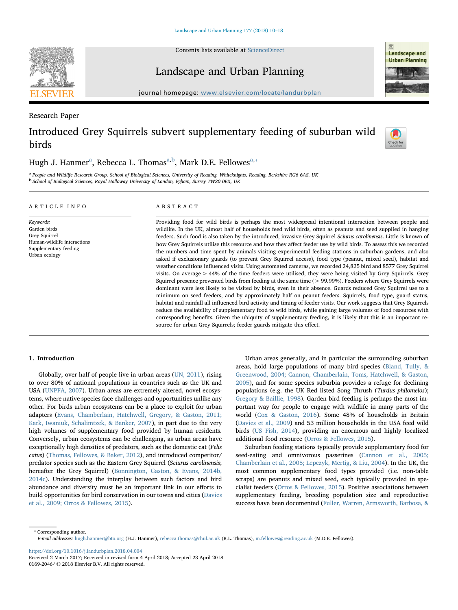Contents lists available at [ScienceDirect](http://www.sciencedirect.com/science/journal/01692046)



Landscape and Urban Planning



journal homepage: [www.elsevier.com/locate/landurbplan](https://www.elsevier.com/locate/landurbplan)

Research Paper

# Introduced Grey Squirrels subvert supplementary feeding of suburban wild birds



## Hugh J. H[a](#page-0-0)nmer<sup>a</sup>, Rebecca L. Thomas<sup>[a,](#page-0-0)[b](#page-0-1)</sup>, Mark D.E. Fellowes<sup>a,</sup>\*

<span id="page-0-1"></span><span id="page-0-0"></span>a People and Wildlife Research Group, School of Biological Sciences, University of Reading, Whiteknights, Reading, Berkshire RG6 6AS, UK <sup>b</sup> School of Biological Sciences, Royal Holloway University of London, Egham, Surrey TW20 0EX, UK

## ARTICLE INFO

Keywords: Garden birds Grey Squirrel Human-wildlife interactions Supplementary feeding Urban ecology

## ABSTRACT

Providing food for wild birds is perhaps the most widespread intentional interaction between people and wildlife. In the UK, almost half of households feed wild birds, often as peanuts and seed supplied in hanging feeders. Such food is also taken by the introduced, invasive Grey Squirrel Sciurus carolinensis. Little is known of how Grey Squirrels utilise this resource and how they affect feeder use by wild birds. To assess this we recorded the numbers and time spent by animals visiting experimental feeding stations in suburban gardens, and also asked if exclusionary guards (to prevent Grey Squirrel access), food type (peanut, mixed seed), habitat and weather conditions influenced visits. Using automated cameras, we recorded 24,825 bird and 8577 Grey Squirrel visits. On average > 44% of the time feeders were utilised, they were being visited by Grey Squirrels. Grey Squirrel presence prevented birds from feeding at the same time (> 99.99%). Feeders where Grey Squirrels were dominant were less likely to be visited by birds, even in their absence. Guards reduced Grey Squirrel use to a minimum on seed feeders, and by approximately half on peanut feeders. Squirrels, food type, guard status, habitat and rainfall all influenced bird activity and timing of feeder visits. Our work suggests that Grey Squirrels reduce the availability of supplementary food to wild birds, while gaining large volumes of food resources with corresponding benefits. Given the ubiquity of supplementary feeding, it is likely that this is an important resource for urban Grey Squirrels; feeder guards mitigate this effect.

## 1. Introduction

Globally, over half of people live in urban areas ([UN, 2011](#page-8-0)), rising to over 80% of national populations in countries such as the UK and USA ([UNPFA, 2007](#page-8-1)). Urban areas are extremely altered, novel ecosystems, where native species face challenges and opportunities unlike any other. For birds urban ecosystems can be a place to exploit for urban adapters [\(Evans, Chamberlain, Hatchwell, Gregory, & Gaston, 2011;](#page-8-2) [Kark, Iwaniuk, Schalimtzek, & Banker, 2007\)](#page-8-2), in part due to the very high volumes of supplementary food provided by human residents. Conversely, urban ecosystems can be challenging, as urban areas have exceptionally high densities of predators, such as the domestic cat (Felis catus) [\(Thomas, Fellowes, & Baker, 2012](#page-8-3)), and introduced competitor/ predator species such as the Eastern Grey Squirrel (Sciurus carolinensis; hereafter the Grey Squirrel) ([Bonnington, Gaston, & Evans, 2014b,](#page-7-0) [2014c](#page-7-0)). Understanding the interplay between such factors and bird abundance and diversity must be an important link in our efforts to build opportunities for bird conservation in our towns and cities [\(Davies](#page-8-4) [et al., 2009; Orros & Fellowes, 2015](#page-8-4)).

Urban areas generally, and in particular the surrounding suburban areas, hold large populations of many bird species [\(Bland, Tully, &](#page-7-1) [Greenwood, 2004; Cannon, Chamberlain, Toms, Hatchwell, & Gaston,](#page-7-1) [2005\)](#page-7-1), and for some species suburbia provides a refuge for declining populations (e.g. the UK Red listed Song Thrush (Turdus philomelos); [Gregory & Baillie, 1998](#page-8-5)). Garden bird feeding is perhaps the most important way for people to engage with wildlife in many parts of the world ([Cox & Gaston, 2016](#page-8-6)). Some 48% of households in Britain ([Davies et al., 2009](#page-8-4)) and 53 million households in the USA feed wild birds [\(US Fish, 2014\)](#page-8-7), providing an enormous and highly localized additional food resource ([Orros & Fellowes, 2015\)](#page-8-8).

Suburban feeding stations typically provide supplementary food for seed-eating and omnivorous passerines [\(Cannon et al., 2005;](#page-7-2) [Chamberlain et al., 2005; Lepczyk, Mertig, & Liu, 2004\)](#page-7-2). In the UK, the most common supplementary food types provided (i.e. non-table scraps) are peanuts and mixed seed, each typically provided in specialist feeders ([Orros & Fellowes, 2015\)](#page-8-8). Positive associations between supplementary feeding, breeding population size and reproductive success have been documented [\(Fuller, Warren, Armsworth, Barbosa, &](#page-8-9)

<span id="page-0-2"></span>⁎ Corresponding author. E-mail addresses: [hugh.hanmer@bto.org](mailto:hugh.hanmer@bto.org) (H.J. Hanmer), [rebecca.thomas@rhul.ac.uk](mailto:rebecca.thomas@rhul.ac.uk) (R.L. Thomas), [m.fellowes@reading.ac.uk](mailto:m.fellowes@reading.ac.uk) (M.D.E. Fellowes).

<https://doi.org/10.1016/j.landurbplan.2018.04.004>

Received 2 March 2017; Received in revised form 4 April 2018; Accepted 23 April 2018 0169-2046/ © 2018 Elsevier B.V. All rights reserved.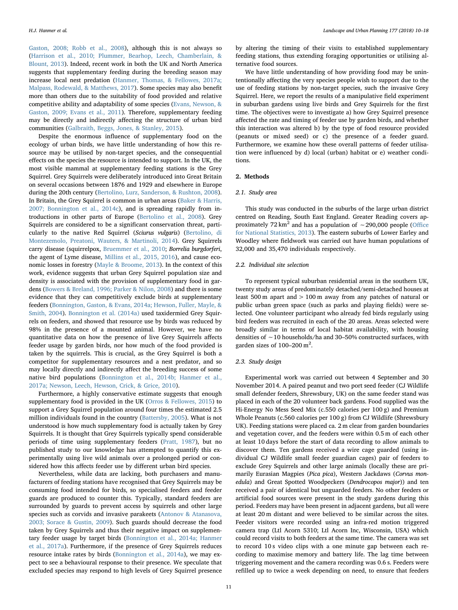[Gaston, 2008; Robb et al., 2008\)](#page-8-9), although this is not always so ([Harrison et al., 2010; Plummer, Bearhop, Leech, Chamberlain, &](#page-8-10) [Blount, 2013\)](#page-8-10). Indeed, recent work in both the UK and North America suggests that supplementary feeding during the breeding season may increase local nest predation [\(Hanmer, Thomas, & Fellowes, 2017a;](#page-8-11) [Malpass, Rodewald, & Matthews, 2017\)](#page-8-11). Some species may also benefit more than others due to the suitability of food provided and relative competitive ability and adaptability of some species ([Evans, Newson, &](#page-8-12) [Gaston, 2009; Evans et al., 2011](#page-8-12)). Therefore, supplementary feeding may be directly and indirectly affecting the structure of urban bird communities ([Galbraith, Beggs, Jones, & Stanley, 2015\)](#page-8-13).

Despite the enormous influence of supplementary food on the ecology of urban birds, we have little understanding of how this resource may be utilised by non-target species, and the consequential effects on the species the resource is intended to support. In the UK, the most visible mammal at supplementary feeding stations is the Grey Squirrel. Grey Squirrels were deliberately introduced into Great Britain on several occasions between 1876 and 1929 and elsewhere in Europe during the 20th century ([Bertolino, Lurz, Sanderson, & Rushton, 2008](#page-7-3)). In Britain, the Grey Squirrel is common in urban areas [\(Baker & Harris,](#page-7-4) [2007; Bonnington et al., 2014c](#page-7-4)), and is spreading rapidly from introductions in other parts of Europe [\(Bertolino et al., 2008](#page-7-3)). Grey Squirrels are considered to be a significant conservation threat, particularly to the native Red Squirrel (Sciurus vulgaris) [\(Bertolino, di](#page-7-5) [Montezemolo, Preatoni, Wauters, & Martinoli, 2014](#page-7-5)). Grey Squirrels carry disease (squirrelpox, [Bruemmer et al., 2010](#page-7-6); Borrelia burgdorferi, the agent of Lyme disease, [Millins et al., 2015, 2016\)](#page-8-14), and cause economic losses in forestry ([Mayle & Broome, 2013\)](#page-8-15). In the context of this work, evidence suggests that urban Grey Squirrel population size and density is associated with the provision of supplementary food in gardens ([Bowers & Breland, 1996; Parker & Nilon, 2008](#page-7-7)) and there is some evidence that they can competitively exclude birds at supplementary feeders ([Bonnington, Gaston, & Evans, 2014a; Hewson, Fuller, Mayle, &](#page-7-8) [Smith, 2004](#page-7-8)). [Bonnington et al. \(2014a\)](#page-7-8) used taxidermied Grey Squirrels on feeders, and showed that resource use by birds was reduced by 98% in the presence of a mounted animal. However, we have no quantitative data on how the presence of live Grey Squirrels affects feeder usage by garden birds, nor how much of the food provided is taken by the squirrels. This is crucial, as the Grey Squirrel is both a competitor for supplementary resources and a nest predator, and so may locally directly and indirectly affect the breeding success of some native bird populations [\(Bonnington et al., 2014b; Hanmer et al.,](#page-7-0) [2017a; Newson, Leech, Hewson, Crick, & Grice, 2010\)](#page-7-0).

Furthermore, a highly conservative estimate suggests that enough supplementary food is provided in the UK [\(Orros & Fellowes, 2015](#page-8-8)) to support a Grey Squirrel population around four times the estimated 2.5 million individuals found in the country ([Battersby, 2005](#page-7-9)). What is not understood is how much supplementary food is actually taken by Grey Squirrels. It is thought that Grey Squirrels typically spend considerable periods of time using supplementary feeders [\(Pratt, 1987\)](#page-8-16), but no published study to our knowledge has attempted to quantify this experimentally using live wild animals over a prolonged period or considered how this affects feeder use by different urban bird species.

Nevertheless, while data are lacking, both purchasers and manufacturers of feeding stations have recognised that Grey Squirrels may be consuming food intended for birds, so specialised feeders and feeder guards are produced to counter this. Typically, standard feeders are surrounded by guards to prevent access by squirrels and other large species such as corvids and invasive parakeets ([Antonov & Atanasova,](#page-7-10) [2003; Sorace & Gustin, 2009\)](#page-7-10). Such guards should decrease the food taken by Grey Squirrels and thus their negative impact on supplementary feeder usage by target birds [\(Bonnington et al., 2014a; Hanmer](#page-7-8) [et al., 2017a](#page-7-8)). Furthermore, if the presence of Grey Squirrels reduces resource intake rates by birds ([Bonnington et al., 2014a](#page-7-8)), we may expect to see a behavioural response to their presence. We speculate that excluded species may respond to high levels of Grey Squirrel presence

by altering the timing of their visits to established supplementary feeding stations, thus extending foraging opportunities or utilising alternative food sources.

We have little understanding of how providing food may be unintentionally affecting the very species people wish to support due to the use of feeding stations by non-target species, such the invasive Grey Squirrel. Here, we report the results of a manipulative field experiment in suburban gardens using live birds and Grey Squirrels for the first time. The objectives were to investigate a) how Grey Squirrel presence affected the rate and timing of feeder use by garden birds, and whether this interaction was altered b) by the type of food resource provided (peanuts or mixed seed) or c) the presence of a feeder guard. Furthermore, we examine how these overall patterns of feeder utilisation were influenced by d) local (urban) habitat or e) weather conditions.

## 2. Methods

#### 2.1. Study area

This study was conducted in the suburbs of the large urban district centred on Reading, South East England. Greater Reading covers approximately 72 km<sup>2</sup> and has a population of  $\sim$  290,000 people (Offi[ce](#page-8-17) [for National Statistics, 2013](#page-8-17)). The eastern suburbs of Lower Earley and Woodley where fieldwork was carried out have human populations of 32,000 and 35,470 individuals respectively.

## 2.2. Individual site selection

To represent typical suburban residential areas in the southern UK, twenty study areas of predominately detached/semi-detached houses at least 500 m apart and > 100 m away from any patches of natural or public urban green space (such as parks and playing fields) were selected. One volunteer participant who already fed birds regularly using bird feeders was recruited in each of the 20 areas. Areas selected were broadly similar in terms of local habitat availability, with housing densities of ∼10 households/ha and 30–50% constructed surfaces, with garden sizes of  $100-200$  m<sup>2</sup>.

## 2.3. Study design

Experimental work was carried out between 4 September and 30 November 2014. A paired peanut and two port seed feeder (CJ Wildlife small defender feeders, Shrewsbury, UK) on the same feeder stand was placed in each of the 20 volunteer back gardens. Food supplied was the Hi-Energy No Mess Seed Mix (c.550 calories per 100 g) and Premium Whole Peanuts (c.560 calories per 100 g) from CJ Wildlife (Shrewsbury UK). Feeding stations were placed ca. 2 m clear from garden boundaries and vegetation cover, and the feeders were within 0.5 m of each other at least 10 days before the start of data recording to allow animals to discover them. Ten gardens received a wire cage guarded (using individual CJ Wildlife small feeder guardian cages) pair of feeders to exclude Grey Squirrels and other large animals (locally these are primarily Eurasian Magpies (Pica pica), Western Jackdaws (Corvus monedula) and Great Spotted Woodpeckers (Dendrocopos major)) and ten received a pair of identical but unguarded feeders. No other feeders or artificial food sources were present in the study gardens during this period. Feeders may have been present in adjacent gardens, but all were at least 20 m distant and were believed to be similar across the sites. Feeder visitors were recorded using an infra-red motion triggered camera trap (Ltl Acorn 5310; Ltl Acorn Inc, Wisconsin, USA) which could record visits to both feeders at the same time. The camera was set to record 10 s video clips with a one minute gap between each recording to maximise memory and battery life. The lag time between triggering movement and the camera recording was 0.6 s. Feeders were refilled up to twice a week depending on need, to ensure that feeders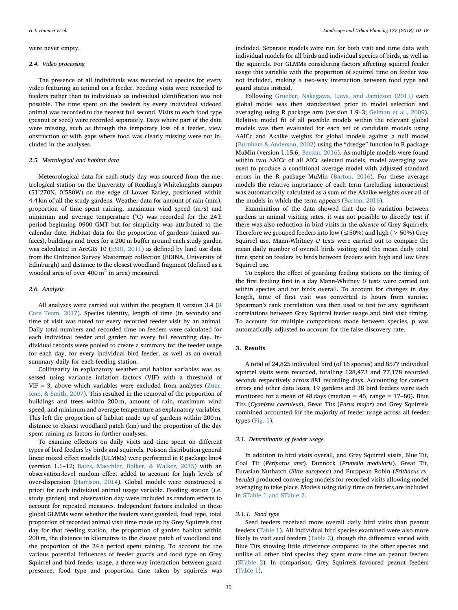#### were never empty.

#### 2.4. Video processing

The presence of all individuals was recorded to species for every video featuring an animal on a feeder. Feeding visits were recorded to feeders rather than to individuals as individual identification was not possible. The time spent on the feeders by every individual videoed animal was recorded to the nearest full second. Visits to each food type (peanut or seed) were recorded separately. Days where part of the data were missing, such as through the temporary loss of a feeder, view obstruction or with gaps where food was clearly missing were not included in the analyses.

## 2.5. Metrological and habitat data

Meteorological data for each study day was sourced from the metrological station on the University of Reading's Whiteknights campus (51°270N, 0°580W) on the edge of Lower Earley, positioned within 4.4 km of all the study gardens. Weather data for amount of rain (mm), proportion of time spent raining, maximum wind speed (m/s) and minimum and average temperature (°C) was recorded for the 24 h period beginning 0900 GMT but for simplicity was attributed to the calendar date. Habitat data for the proportion of gardens (mixed surfaces), buildings and trees for a 200 m buffer around each study garden was calculated in ArcGIS 10 ([ESRI, 2011](#page-8-18)) as defined by land use data from the Ordnance Survey Mastermap collection (EDINA, University of Edinburgh) and distance to the closest woodland fragment (defined as a wooded area of over  $400 \text{ m}^2$  in area) measured.

## 2.6. Analysis

All analyses were carried out within the program R version 3.4 ([R](#page-8-19) [Core Team, 2017\)](#page-8-19). Species identity, length of time (in seconds) and time of visit was noted for every recorded feeder visit by an animal. Daily total numbers and recorded time on feeders were calculated for each individual feeder and garden for every full recording day. Individual records were pooled to create a summary for the feeder usage for each day, for every individual bird feeder, as well as an overall summary daily for each feeding station.

Collinearity in explanatory weather and habitat variables was assessed using variance inflation factors (VIF) with a threshold of  $VIF = 3$ , above which variables were excluded from analyses ([Zuur,](#page-8-20) [Ieno, & Smith, 2007\)](#page-8-20). This resulted in the removal of the proportion of buildings and trees within 200 m, amount of rain, maximum wind speed, and minimum and average temperature as explanatory variables. This left the proportion of habitat made up of gardens within 200 m, distance to closest woodland patch (km) and the proportion of the day spent raining as factors in further analyses.

To examine effectors on daily visits and time spent on different types of bird feeders by birds and squirrels, Poisson distribution general linear mixed effect models (GLMMs) were performed in R package lme4 (version 1.1–12; [Bates, Maechler, Bolker, & Walker, 2015\)](#page-7-11) with an observation-level random effect added to account for high levels of over-dispersion ([Harrison, 2014](#page-8-21)). Global models were constructed a priori for each individual animal usage variable. Feeding station (i.e. study garden) and observation day were included as random effects to account for repeated measures. Independent factors included in these global GLMMs were whether the feeders were guarded, food type, total proportion of recorded animal visit time made up by Grey Squirrels that day for that feeding station, the proportion of garden habitat within 200 m, the distance in kilometres to the closest patch of woodland and the proportion of the 24 h period spent raining. To account for the various potential influences of feeder guards and food type on Grey Squirrel and bird feeder usage, a three-way interaction between guard presence, food type and proportion time taken by squirrels was

included. Separate models were run for both visit and time data with individual models for all birds and individual species of birds, as well as the squirrels. For GLMMs considering factors affecting squirrel feeder usage this variable with the proportion of squirrel time on feeder was not included, making a two-way interaction between food type and guard status instead.

Following [Grueber, Nakagawa, Laws, and Jamieson \(2011\)](#page-8-22) each global model was then standardised prior to model selection and averaging using R package arm (version 1.9–3; [Gelman et al., 2009](#page-8-23)). Relative model fit of all possible models within the relevant global models was then evaluated for each set of candidate models using ΔAICc and Akaike weights for global models against a null model ([Burnham & Anderson, 2002\)](#page-7-12) using the "dredge" function in R package MuMin (version 1.15.6; [Barton, 2016](#page-7-13)). As multiple models were found within two ΔAICc of all AICc selected models, model averaging was used to produce a conditional average model with adjusted standard errors in the R package MuMin ([Barton, 2016\)](#page-7-13). For these average models the relative importance of each term (including interactions) was automatically calculated as a sum of the Akaike weights over all of the models in which the term appears ([Barton,](#page-7-13) 2016).

Examination of the data showed that due to variation between gardens in animal visiting rates, it was not possible to directly test if there was also reduction in bird visits in the absence of Grey Squirrels. Therefore we grouped feeders into low ( $\leq$  50%) and high ( $>$  50%) Grey Squirrel use. Mann-Whitney U tests were carried out to compare the mean daily number of overall birds visiting and the mean daily total time spent on feeders by birds between feeders with high and low Grey Squirrel use.

To explore the effect of guarding feeding stations on the timing of the first feeding first in a day Mann-Whitney U tests were carried out within species and for birds overall. To account for changes in day length, time of first visit was converted to hours from sunrise. Spearman's rank correlation was then used to test for any significant correlations between Grey Squirrel feeder usage and bird visit timing. To account for multiple comparisons made between species, p was automatically adjusted to account for the false discovery rate.

## 3. Results

A total of 24,825 individual bird (of 16 species) and 8577 individual squirrel visits were recorded, totalling 128,473 and 77,178 recorded seconds respectively across 881 recording days. Accounting for camera errors and other data loses, 19 gardens and 38 bird feeders were each monitored for a mean of 48 days (median  $= 45$ , range  $= 17-80$ ). Blue Tits (Cyanistes caeruleus), Great Tits (Parus major) and Grey Squirrels combined accounted for the majority of feeder usage across all feeder types ([Fig. 1\)](#page-3-0).

## 3.1. Determinants of feeder usage

In addition to bird visits overall, and Grey Squirrel visits, Blue Tit, Coal Tit (Periparus ater), Dunnock (Prunella modularis), Great Tit, Eurasian Nuthatch (Sitta europaea) and European Robin (Erithacus rubecula) produced converging models for recorded visits allowing model averaging to take place. Models using daily time on feeders are included in STable 1 and STable 2.

## 3.1.1. Food type

Seed feeders received more overall daily bird visits than peanut feeders [\(Table 1\)](#page-3-1). All individual bird species examined were also more likely to visit seed feeders [\(Table 2\)](#page-4-0), though the difference varied with Blue Tits showing little difference compared to the other species and unlike all other bird species they spent more time on peanut feeders (STable 2). In comparison, Grey Squirrels favoured peanut feeders ([Table 1](#page-3-1)).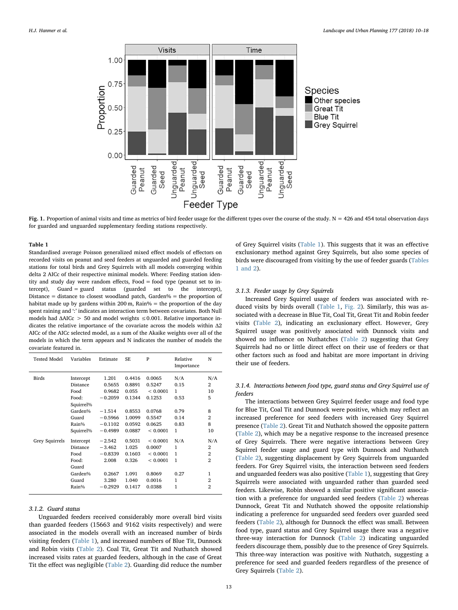<span id="page-3-0"></span>

Fig. 1. Proportion of animal visits and time as metrics of bird feeder usage for the different types over the course of the study.  $N = 426$  and 454 total observation days for guarded and unguarded supplementary feeding stations respectively.

#### <span id="page-3-1"></span>Table 1

Standardised average Poisson generalized mixed effect models of effectors on recorded visits on peanut and seed feeders at unguarded and guarded feeding stations for total birds and Grey Squirrels with all models converging within delta 2 AICc of their respective minimal models. Where: Feeding station identity and study day were random effects, Food = food type (peanut set to intercept), Guard = guard status (guarded set to the intercept), Distance = distance to closest woodland patch, Garden% = the proportion of habitat made up by gardens within 200 m,  $Rain\% = the proportion of the day$ spent raining and ":' indicates an interaction term between covariates. Both Null models had ΔAICc > 50 and model weights ≤0.001. Relative importance indicates the relative importance of the covariate across the models within Δ2 AICc of the AICc selected model, as a sum of the Akaike weights over all of the models in which the term appears and N indicates the number of models the covariate featured in.

| <b>Tested Model</b> | Variables       | Estimate  | <b>SE</b> | P            | Relative<br>Importance | N              |
|---------------------|-----------------|-----------|-----------|--------------|------------------------|----------------|
| <b>Birds</b>        | Intercept       | 1.201     | 0.4416    | 0.0065       | N/A                    | N/A            |
|                     | Distance        | 0.5655    | 0.8891    | 0.5247       | 0.15                   | $\mathbf{2}$   |
|                     | Food            | 0.9682    | 0.055     | < 0.0001     | 1                      | 10             |
|                     | Food:           | $-0.2059$ | 0.1344    | 0.1253       | 0.53                   | 5              |
|                     | Squirrel%       |           |           |              |                        |                |
|                     | Garden%         | $-1.514$  | 0.8553    | 0.0768       | 0.79                   | 8              |
|                     | Guard           | $-0.5966$ | 1.0099    | 0.5547       | 0.14                   | $\overline{2}$ |
|                     | Rain%           | $-0.1102$ | 0.0592    | 0.0625       | 0.83                   | 8              |
|                     | Squirrel%       | $-0.4989$ | 0.0887    | < 0.0001     | 1                      | 10             |
| Grey Squirrels      | Intercept       | $-2.542$  | 0.5031    | < 0.0001     | N/A                    | N/A            |
|                     | <b>Distance</b> | $-3.462$  | 1.025     | 0.0007       | 1                      | $\overline{2}$ |
|                     | Food            | $-0.8339$ | 0.1603    | < 0.0001     | $\mathbf{1}$           | $\overline{2}$ |
|                     | Food:           | 2.008     | 0.326     | ${}< 0.0001$ | 1                      | $\overline{2}$ |
|                     | Guard           |           |           |              |                        |                |
|                     | Garden%         | 0.2667    | 1.091     | 0.8069       | 0.27                   | 1              |
|                     | Guard           | 3.280     | 1.040     | 0.0016       | 1                      | $\overline{2}$ |
|                     | Rain%           | $-0.2929$ | 0.1417    | 0.0388       | 1                      | $\overline{2}$ |

## 3.1.2. Guard status

Unguarded feeders received considerably more overall bird visits than guarded feeders (15663 and 9162 visits respectively) and were associated in the models overall with an increased number of birds visiting feeders ([Table 1](#page-3-1)), and increased numbers of Blue Tit, Dunnock and Robin visits ([Table 2](#page-4-0)). Coal Tit, Great Tit and Nuthatch showed increased visits rates at guarded feeders, although in the case of Great Tit the effect was negligible [\(Table 2](#page-4-0)). Guarding did reduce the number

of Grey Squirrel visits ([Table 1\)](#page-3-1). This suggests that it was an effective exclusionary method against Grey Squirrels, but also some species of birds were discouraged from visiting by the use of feeder guards ([Tables](#page-3-1) [1 and 2\)](#page-3-1).

## 3.1.3. Feeder usage by Grey Squirrels

Increased Grey Squirrel usage of feeders was associated with reduced visits by birds overall ([Table 1,](#page-3-1) [Fig. 2](#page-5-0)). Similarly, this was associated with a decrease in Blue Tit, Coal Tit, Great Tit and Robin feeder visits ([Table 2\)](#page-4-0), indicating an exclusionary effect. However, Grey Squirrel usage was positively associated with Dunnock visits and showed no influence on Nuthatches ([Table 2\)](#page-4-0) suggesting that Grey Squirrels had no or little direct effect on their use of feeders or that other factors such as food and habitat are more important in driving their use of feeders.

## 3.1.4. Interactions between food type, guard status and Grey Squirrel use of feeders

The interactions between Grey Squirrel feeder usage and food type for Blue Tit, Coal Tit and Dunnock were positive, which may reflect an increased preference for seed feeders with increased Grey Squirrel presence [\(Table 2](#page-4-0)). Great Tit and Nuthatch showed the opposite pattern ([Table 2](#page-4-0)), which may be a negative response to the increased presence of Grey Squirrels. There were negative interactions between Grey Squirrel feeder usage and guard type with Dunnock and Nuthatch ([Table 2\)](#page-4-0), suggesting displacement by Grey Squirrels from unguarded feeders. For Grey Squirrel visits, the interaction between seed feeders and unguarded feeders was also positive ([Table 1\)](#page-3-1), suggesting that Grey Squirrels were associated with unguarded rather than guarded seed feeders. Likewise, Robin showed a similar positive significant association with a preference for unguarded seed feeders [\(Table 2](#page-4-0)) whereas Dunnock, Great Tit and Nuthatch showed the opposite relationship indicating a preference for unguarded seed feeders over guarded seed feeders [\(Table 2\)](#page-4-0), although for Dunnock the effect was small. Between food type, guard status and Grey Squirrel usage there was a negative three-way interaction for Dunnock [\(Table 2](#page-4-0)) indicating unguarded feeders discourage them, possibly due to the presence of Grey Squirrels. This three-way interaction was positive with Nuthatch, suggesting a preference for seed and guarded feeders regardless of the presence of Grey Squirrels ([Table 2\)](#page-4-0).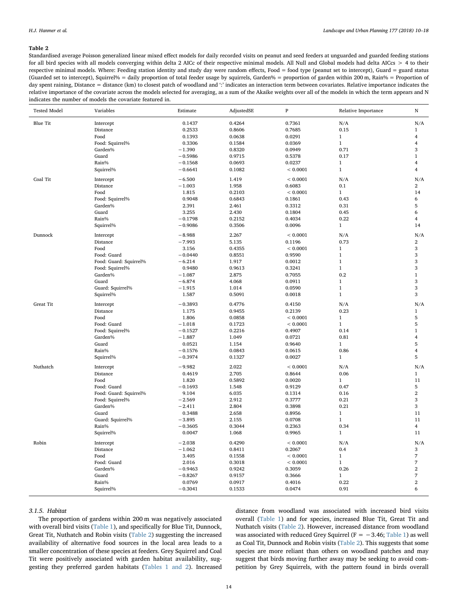#### <span id="page-4-0"></span>Table 2

Standardised average Poisson generalized linear mixed effect models for daily recorded visits on peanut and seed feeders at unguarded and guarded feeding stations for all bird species with all models converging within delta 2 AICc of their respective minimal models. All Null and Global models had delta AICcs > 4 to their respective minimal models. Where: Feeding station identity and study day were random effects, Food = food type (peanut set to intercept), Guard = guard status (Guarded set to intercept), Squirrel% = daily proportion of total feeder usage by squirrels, Garden% = proportion of garden within 200 m, Rain% = Proportion of day spent raining, Distance = distance (km) to closest patch of woodland and ':' indicates an interaction term between covariates. Relative importance indicates the relative importance of the covariate across the models selected for averaging, as a sum of the Akaike weights over all of the models in which the term appears and N indicates the number of models the covariate featured in.

| <b>Tested Model</b> | Variables                             | Estimate           | AdjustedSE      | $\, {\bf p}$     | Relative Importance          | N                             |
|---------------------|---------------------------------------|--------------------|-----------------|------------------|------------------------------|-------------------------------|
| <b>Blue Tit</b>     | Intercept                             | 0.1437             | 0.4264          | 0.7361           | N/A                          | N/A                           |
|                     | Distance                              | 0.2533             | 0.8606          | 0.7685           | 0.15                         | $\mathbf{1}$                  |
|                     | Food                                  | 0.1393             | 0.0638          | 0.0291           | $\mathbf{1}$                 | $\overline{4}$                |
|                     | Food: Squirrel%                       | 0.3306             | 0.1584          | 0.0369           | $\mathbf{1}$                 | $\overline{4}$                |
|                     | Garden%                               | $-1.390$           | 0.8320          | 0.0949           | 0.71                         | 3                             |
|                     | Guard                                 | $-0.5986$          | 0.9715          | 0.5378           | 0.17                         | $\mathbf{1}$                  |
|                     | Rain%                                 | $-0.1568$          | 0.0693          | 0.0237           | $\mathbf{1}$                 | $\overline{4}$                |
|                     | Squirrel%                             | $-0.6641$          | 0.1082          | < 0.0001         | $\,1$                        | $\overline{4}$                |
| Coal Tit            | Intercept                             | $-6.500$           | 1.419           | < 0.0001         | N/A                          | N/A                           |
|                     | Distance                              | $-1.003$           | 1.958           | 0.6083           | 0.1                          | $\overline{2}$                |
|                     | Food                                  | 1.815              | 0.2103          | < 0.0001         | $\mathbf{1}$                 | 14                            |
|                     | Food: Squirrel%                       | 0.9048             | 0.6843          | 0.1861           | 0.43                         | 6                             |
|                     | Garden%                               | 2.391              | 2.461           | 0.3312           | 0.31                         | 5                             |
|                     | Guard                                 | 3.255              | 2.430           | 0.1804           | 0.45                         | 6                             |
|                     | Rain%                                 | $-0.1798$          | 0.2152          | 0.4034           | 0.22                         | $\overline{4}$<br>14          |
|                     | Squirrel%                             | $-0.9086$          | 0.3506          | 0.0096           | $\mathbf{1}$                 |                               |
| Dunnock             | Intercept                             | $-8.988$           | 2.267           | < 0.0001         | N/A                          | N/A                           |
|                     | Distance                              | $-7.993$           | 5.135           | 0.1196           | 0.73                         | $\,2$                         |
|                     | Food                                  | 3.156              | 0.4355          | < 0.0001         | $\mathbf{1}$                 | 3                             |
|                     | Food: Guard                           | $-0.0440$          | 0.8551          | 0.9590           | $\mathbf{1}$                 | 3                             |
|                     | Food: Guard: Squirrel%                | $-6.214$           | 1.917           | 0.0012           | $\mathbf{1}$                 | 3                             |
|                     | Food: Squirrel%                       | 0.9480             | 0.9613          | 0.3241           | $\,1$                        | 3                             |
|                     | Garden%                               | $-1.087$           | 2.875           | 0.7055           | 0.2                          | $\mathbf 1$                   |
|                     | Guard                                 | $-6.874$           | 4.068           | 0.0911<br>0.0590 | $\mathbf{1}$<br>$\mathbf{1}$ | 3<br>3                        |
|                     | Guard: Squirrel%<br>Squirrel%         | $-1.915$<br>1.587  | 1.014<br>0.5091 | 0.0018           | $\mathbf{1}$                 | 3                             |
|                     |                                       |                    |                 |                  |                              |                               |
| <b>Great Tit</b>    | Intercept                             | $-0.3893$          | 0.4776          | 0.4150           | N/A                          | N/A                           |
|                     | Distance                              | 1.175              | 0.9455          | 0.2139           | 0.23                         | $\mathbf{1}$                  |
|                     | Food                                  | 1.806              | 0.0858          | < 0.0001         | $\,1$                        | 5                             |
|                     | Food: Guard                           | $-1.018$           | 0.1723          | < 0.0001         | $\mathbf{1}$                 | 5                             |
|                     | Food: Squirrel%                       | $-0.1527$          | 0.2216          | 0.4907           | 0.14<br>0.81                 | $\mathbf 1$<br>$\overline{4}$ |
|                     | Garden%<br>Guard                      | $-1.887$<br>0.0521 | 1.049<br>1.154  | 0.0721<br>0.9640 | $\mathbf{1}$                 | 5                             |
|                     | Rain%                                 | $-0.1576$          | 0.0843          | 0.0615           | 0.86                         | $\overline{4}$                |
|                     | Squirrel%                             | $-0.3974$          | 0.1327          | 0.0027           | $\mathbf{1}$                 | 5                             |
|                     |                                       |                    |                 |                  |                              |                               |
| Nuthatch            | Intercept                             | $-9.982$           | 2.022           | < 0.0001         | N/A                          | N/A                           |
|                     | Distance                              | 0.4619             | 2.705           | 0.8644           | 0.06                         | $\mathbf{1}$                  |
|                     | Food                                  | 1.820              | 0.5892          | 0.0020           | $\mathbf{1}$<br>0.47         | 11                            |
|                     | Food: Guard<br>Food: Guard: Squirrel% | $-0.1693$<br>9.104 | 1.548<br>6.035  | 0.9129<br>0.1314 | 0.16                         | $\sqrt{5}$<br>$\sqrt{2}$      |
|                     | Food: Squirrel%                       | $-2.569$           | 2.912           | 0.3777           | 0.21                         | 3                             |
|                     | Garden%                               | $-2.411$           | 2.804           | 0.3898           | 0.21                         | 3                             |
|                     | Guard                                 | 0.3488             | 2.658           | 0.8956           | $\mathbf{1}$                 | 11                            |
|                     | Guard: Squirrel%                      | $-3.895$           | 2.155           | 0.0708           | $\mathbf{1}$                 | 11                            |
|                     | Rain%                                 | $-0.3605$          | 0.3044          | 0.2363           | 0.34                         | $\overline{4}$                |
|                     | Squirrel%                             | 0.0047             | 1.068           | 0.9965           | $\mathbf{1}$                 | 11                            |
| Robin               |                                       | $-2.038$           | 0.4290          | < 0.0001         | N/A                          | N/A                           |
|                     | Intercept<br>Distance                 | $-1.062$           | 0.8411          | 0.2067           | 0.4                          | 3                             |
|                     | Food                                  | 3.405              | 0.1558          | < 0.0001         | $\mathbf{1}$                 | $\overline{7}$                |
|                     | Food: Guard                           | 2.016              | 0.3018          | < 0.0001         | $\mathbf{1}$                 | $\boldsymbol{7}$              |
|                     | Garden%                               | $-0.9463$          | 0.9242          | 0.3059           | 0.26                         | $\sqrt{2}$                    |
|                     | Guard                                 | $-0.8267$          | 0.9157          | 0.3666           | $\mathbf{1}$                 | $\boldsymbol{7}$              |
|                     | Rain%                                 | 0.0769             | 0.0917          | 0.4016           | 0.22                         | $\,2$                         |
|                     | Squirrel%                             | $-0.3041$          | 0.1533          | 0.0474           | 0.91                         | 6                             |
|                     |                                       |                    |                 |                  |                              |                               |

## 3.1.5. Habitat

The proportion of gardens within 200 m was negatively associated with overall bird visits [\(Table 1\)](#page-3-1), and specifically for Blue Tit, Dunnock, Great Tit, Nuthatch and Robin visits ([Table 2](#page-4-0)) suggesting the increased availability of alternative food sources in the local area leads to a smaller concentration of these species at feeders. Grey Squirrel and Coal Tit were positively associated with garden habitat availability, suggesting they preferred garden habitats ([Tables 1 and 2\)](#page-3-1). Increased distance from woodland was associated with increased bird visits overall ([Table 1\)](#page-3-1) and for species, increased Blue Tit, Great Tit and Nuthatch visits [\(Table 2\)](#page-4-0). However, increased distance from woodland was associated with reduced Grey Squirrel ( $F = -3.46$ ; [Table 1\)](#page-3-1) as well as Coal Tit, Dunnock and Robin visits [\(Table 2](#page-4-0)). This suggests that some species are more reliant than others on woodland patches and may suggest that birds moving further away may be seeking to avoid competition by Grey Squirrels, with the pattern found in birds overall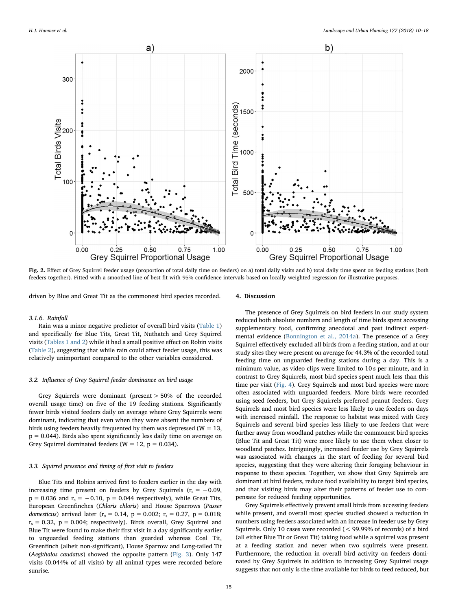<span id="page-5-0"></span>

Fig. 2. Effect of Grey Squirrel feeder usage (proportion of total daily time on feeders) on a) total daily visits and b) total daily time spent on feeding stations (both feeders together). Fitted with a smoothed line of best fit with 95% confidence intervals based on locally weighted regression for illustrative purposes.

driven by Blue and Great Tit as the commonest bird species recorded.

#### 4. Discussion

## 3.1.6. Rainfall

Rain was a minor negative predictor of overall bird visits [\(Table 1\)](#page-3-1) and specifically for Blue Tits, Great Tit, Nuthatch and Grey Squirrel visits ([Tables 1 and 2](#page-3-1)) while it had a small positive effect on Robin visits ([Table 2\)](#page-4-0), suggesting that while rain could affect feeder usage, this was relatively unimportant compared to the other variables considered.

## 3.2. Influence of Grey Squirrel feeder dominance on bird usage

Grey Squirrels were dominant (present > 50% of the recorded overall usage time) on five of the 19 feeding stations. Significantly fewer birds visited feeders daily on average where Grey Squirrels were dominant, indicating that even when they were absent the numbers of birds using feeders heavily frequented by them was depressed ( $W = 13$ ,  $p = 0.044$ ). Birds also spent significantly less daily time on average on Grey Squirrel dominated feeders ( $W = 12$ ,  $p = 0.034$ ).

## 3.3. Squirrel presence and timing of first visit to feeders

Blue Tits and Robins arrived first to feeders earlier in the day with increasing time present on feeders by Grey Squirrels ( $r_s = -0.09$ ,  $p = 0.036$  and  $r_s = -0.10$ ,  $p = 0.044$  respectively), while Great Tits, European Greenfinches (Chloris chloris) and House Sparrows (Passer domesticus) arrived later ( $r_s = 0.14$ ,  $p = 0.002$ ;  $r_s = 0.27$ ,  $p = 0.018$ ;  $r_s = 0.32$ ,  $p = 0.004$ ; respectively). Birds overall, Grey Squirrel and Blue Tit were found to make their first visit in a day significantly earlier to unguarded feeding stations than guarded whereas Coal Tit, Greenfinch (albeit non-significant), House Sparrow and Long-tailed Tit (Aegithalos caudatus) showed the opposite pattern ([Fig. 3\)](#page-6-0). Only 147 visits (0.044% of all visits) by all animal types were recorded before sunrise.

The presence of Grey Squirrels on bird feeders in our study system reduced both absolute numbers and length of time birds spent accessing supplementary food, confirming anecdotal and past indirect experimental evidence [\(Bonnington et al., 2014a](#page-7-8)). The presence of a Grey Squirrel effectively excluded all birds from a feeding station, and at our study sites they were present on average for 44.3% of the recorded total feeding time on unguarded feeding stations during a day. This is a minimum value, as video clips were limited to 10 s per minute, and in contrast to Grey Squirrels, most bird species spent much less than this time per visit [\(Fig. 4\)](#page-6-1). Grey Squirrels and most bird species were more often associated with unguarded feeders. More birds were recorded using seed feeders, but Grey Squirrels preferred peanut feeders. Grey Squirrels and most bird species were less likely to use feeders on days with increased rainfall. The response to habitat was mixed with Grey Squirrels and several bird species less likely to use feeders that were further away from woodland patches while the commonest bird species (Blue Tit and Great Tit) were more likely to use them when closer to woodland patches. Intriguingly, increased feeder use by Grey Squirrels was associated with changes in the start of feeding for several bird species, suggesting that they were altering their foraging behaviour in response to these species. Together, we show that Grey Squirrels are dominant at bird feeders, reduce food availability to target bird species, and that visiting birds may alter their patterns of feeder use to compensate for reduced feeding opportunities.

Grey Squirrels effectively prevent small birds from accessing feeders while present, and overall most species studied showed a reduction in numbers using feeders associated with an increase in feeder use by Grey Squirrels. Only 10 cases were recorded (< 99.99% of records) of a bird (all either Blue Tit or Great Tit) taking food while a squirrel was present at a feeding station and never when two squirrels were present. Furthermore, the reduction in overall bird activity on feeders dominated by Grey Squirrels in addition to increasing Grey Squirrel usage suggests that not only is the time available for birds to feed reduced, but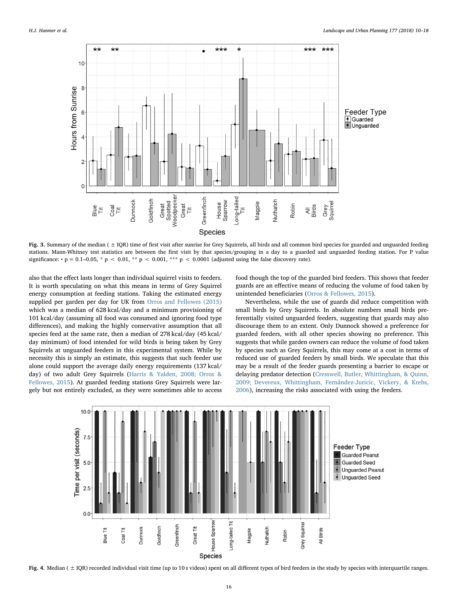<span id="page-6-0"></span>

Fig. 3. Summary of the median  $( \pm$  IOR) time of first visit after sunrise for Grey Squirrels, all birds and all common bird species for guarded and unguarded feeding stations. Mann-Whitney test statistics are between the first visit by that species/grouping in a day to a guarded and unguarded feeding station. For P value significance: • p = 0.1–0.05, \* p < 0.01, \*\* p < 0.001, \*\*\* p < 0.0001 (adjusted using the false discovery rate).

also that the effect lasts longer than individual squirrel visits to feeders. It is worth speculating on what this means in terms of Grey Squirrel energy consumption at feeding stations. Taking the estimated energy supplied per garden per day for UK from [Orros and Fellowes \(2015\)](#page-8-8) which was a median of 628 kcal/day and a minimum provisioning of 101 kcal/day (assuming all food was consumed and ignoring food type differences), and making the highly conservative assumption that all species feed at the same rate, then a median of 278 kcal/day (45 kcal/ day minimum) of food intended for wild birds is being taken by Grey Squirrels at unguarded feeders in this experimental system. While by necessity this is simply an estimate, this suggests that such feeder use alone could support the average daily energy requirements (137 kcal/ day) of two adult Grey Squirrels [\(Harris & Yalden, 2008; Orros &](#page-8-24) [Fellowes, 2015\)](#page-8-24). At guarded feeding stations Grey Squirrels were largely but not entirely excluded, as they were sometimes able to access food though the top of the guarded bird feeders. This shows that feeder guards are an effective means of reducing the volume of food taken by unintended beneficiaries ([Orros & Fellowes, 2015](#page-8-8)).

Nevertheless, while the use of guards did reduce competition with small birds by Grey Squirrels. In absolute numbers small birds preferentially visited unguarded feeders, suggesting that guards may also discourage them to an extent. Only Dunnock showed a preference for guarded feeders, with all other species showing no preference. This suggests that while garden owners can reduce the volume of food taken by species such as Grey Squirrels, this may come at a cost in terms of reduced use of guarded feeders by small birds. We speculate that this may be a result of the feeder guards presenting a barrier to escape or delaying predator detection [\(Cresswell, Butler, Whittingham, & Quinn,](#page-8-25) [2009; Devereux, Whittingham, Fernández-Juricic, Vickery, & Krebs,](#page-8-25) [2006\)](#page-8-25), increasing the risks associated with using the feeders.

<span id="page-6-1"></span>

Fig. 4. Median ( $\pm$  IQR) recorded individual visit time (up to 10 s videos) spent on all different types of bird feeders in the study by species with interquartile ranges.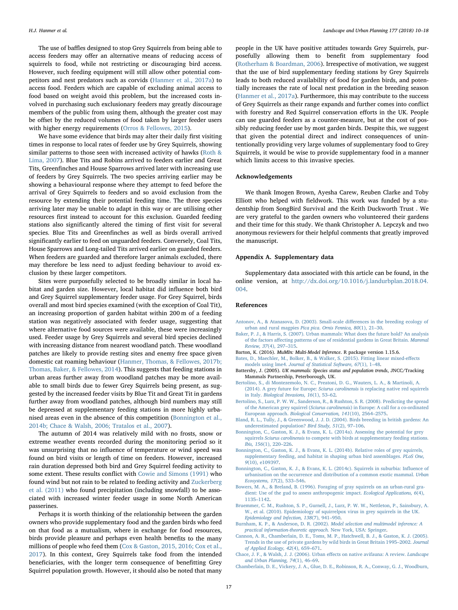The use of baffles designed to stop Grey Squirrels from being able to access feeders may offer an alternative means of reducing access of squirrels to food, while not restricting or discouraging bird access. However, such feeding equipment will still allow other potential competitors and nest predators such as corvids [\(Hanmer et al., 2017a\)](#page-8-11) to access food. Feeders which are capable of excluding animal access to food based on weight avoid this problem, but the increased costs involved in purchasing such exclusionary feeders may greatly discourage members of the public from using them, although the greater cost may be offset by the reduced volumes of food taken by larger feeder users with higher energy requirements [\(Orros & Fellowes, 2015](#page-8-8)).

We have some evidence that birds may alter their daily first visiting times in response to local rates of feeder use by Grey Squirrels, showing similar patterns to those seen with increased activity of hawks ([Roth &](#page-8-26) [Lima, 2007\)](#page-8-26). Blue Tits and Robins arrived to feeders earlier and Great Tits, Greenfinches and House Sparrows arrived later with increasing use of feeders by Grey Squirrels. The two species arriving earlier may be showing a behavioural response where they attempt to feed before the arrival of Grey Squirrels to feeders and so avoid exclusion from the resource by extending their potential feeding time. The three species arriving later may be unable to adapt in this way or are utilising other resources first instead to account for this exclusion. Guarded feeding stations also significantly altered the timing of first visit for several species. Blue Tits and Greenfinches as well as birds overall arrived significantly earlier to feed on unguarded feeders. Conversely, Coal Tits, House Sparrows and Long-tailed Tits arrived earlier on guarded feeders. When feeders are guarded and therefore larger animals excluded, there may therefore be less need to adjust feeding behaviour to avoid exclusion by these larger competitors.

Sites were purposefully selected to be broadly similar in local habitat and garden size. However, local habitat did influence both bird and Grey Squirrel supplementary feeder usage. For Grey Squirrel, birds overall and most bird species examined (with the exception of Coal Tit), an increasing proportion of garden habitat within 200 m of a feeding station was negatively associated with feeder usage, suggesting that where alternative food sources were available, these were increasingly used. Feeder usage by Grey Squirrels and several bird species declined with increasing distance from nearest woodland patch. These woodland patches are likely to provide resting sites and enemy free space given domestic cat roaming behaviour [\(Hanmer, Thomas, & Fellowes, 2017b;](#page-8-27) [Thomas, Baker, & Fellowes, 2014\)](#page-8-27). This suggests that feeding stations in urban areas further away from woodland patches may be more available to small birds due to fewer Grey Squirrels being present, as suggested by the increased feeder visits by Blue Tit and Great Tit in gardens further away from woodland patches, although bird numbers may still be depressed at supplementary feeding stations in more highly urbanised areas even in the absence of this competition [\(Bonnington et al.,](#page-7-0) [2014b; Chace & Walsh, 2006; Tratalos et al., 2007](#page-7-0)).

The autumn of 2014 was relatively mild with no frosts, snow or extreme weather events recorded during the monitoring period so it was unsurprising that no influence of temperature or wind speed was found on bird visits or length of time on feeders. However, increased rain duration depressed both bird and Grey Squirrel feeding activity to some extent. These results conflict with [Cowie and Simons \(1991\)](#page-8-28) who found wind but not rain to be related to feeding activity and [Zuckerberg](#page-8-29) [et al. \(2011\)](#page-8-29) who found precipitation (including snowfall) to be associated with increased winter feeder usage in some North American passerines.

Perhaps it is worth thinking of the relationship between the garden owners who provide supplementary food and the garden birds who feed on that food as a mutualism, where in exchange for food resources, birds provide pleasure and perhaps even health benefits to the many millions of people who feed them ([Cox & Gaston, 2015, 2016; Cox et al.,](#page-8-30) [2017\)](#page-8-30). In this context, Grey Squirrels take food from the intended beneficiaries, with the longer term consequence of benefitting Grey Squirrel population growth. However, it should also be noted that many

people in the UK have positive attitudes towards Grey Squirrels, purposefully allowing them to benefit from supplementary food ([Rotherham & Boardman, 2006](#page-8-31)). Irrespective of motivation, we suggest that the use of bird supplementary feeding stations by Grey Squirrels leads to both reduced availability of food for garden birds, and potentially increases the rate of local nest predation in the breeding season ([Hanmer et al., 2017a\)](#page-8-11). Furthermore, this may contribute to the success of Grey Squirrels as their range expands and further comes into conflict with forestry and Red Squirrel conservation efforts in the UK. People can use guarded feeders as a counter-measure, but at the cost of possibly reducing feeder use by most garden birds. Despite this, we suggest that given the potential direct and indirect consequences of unintentionally providing very large volumes of supplementary food to Grey Squirrels, it would be wise to provide supplementary food in a manner which limits access to this invasive species.

## Acknowledgements

We thank Imogen Brown, Ayesha Carew, Reuben Clarke and Toby Elliott who helped with fieldwork. This work was funded by a studentship from SongBird Survival and the Keith Duckworth Trust . We are very grateful to the garden owners who volunteered their gardens and their time for this study. We thank Christopher A. Lepczyk and two anonymous reviewers for their helpful comments that greatly improved the manuscript.

## Appendix A. Supplementary data

Supplementary data associated with this article can be found, in the online version, at [http://dx.doi.org/10.1016/j.landurbplan.2018.04.](http://dx.doi.org/10.1016/j.landurbplan.2018.04.004) [004](http://dx.doi.org/10.1016/j.landurbplan.2018.04.004).

#### References

- <span id="page-7-10"></span>[Antonov, A., & Atanasova, D. \(2003\). Small-scale di](http://refhub.elsevier.com/S0169-2046(18)30224-X/h0005)fferences in the breeding ecology of [urban and rural magpies](http://refhub.elsevier.com/S0169-2046(18)30224-X/h0005) Pica pica. Ornis Fennica, 80(1), 21–30.
- <span id="page-7-4"></span>[Baker, P. J., & Harris, S. \(2007\). Urban mammals: What does the future hold? An analysis](http://refhub.elsevier.com/S0169-2046(18)30224-X/h0010) of the factors aff[ecting patterns of use of residential gardens in Great Britain.](http://refhub.elsevier.com/S0169-2046(18)30224-X/h0010) Mammal [Review, 37](http://refhub.elsevier.com/S0169-2046(18)30224-X/h0010)(4), 297–315.
- <span id="page-7-13"></span>Barton, K. (2016). MuMIn: Multi-Model Inference. R package version 1.15.6.
- <span id="page-7-11"></span>[Bates, D., Maechler, M., Bolker, B., & Walker, S. \(2015\). Fitting linear mixed-e](http://refhub.elsevier.com/S0169-2046(18)30224-X/h0020)ffects models using lme4. [Journal of Statistical Software, 67](http://refhub.elsevier.com/S0169-2046(18)30224-X/h0020)(1), 1–48.
- <span id="page-7-9"></span>Battersby, J. (2005). UK mammals: Species status and population trends, JNCC/Tracking Mammals Partnership, Peterborough, UK.
- <span id="page-7-5"></span>[Bertolino, S., di Montezemolo, N. C., Preatoni, D. G., Wauters, L. A., & Martinoli, A.](http://refhub.elsevier.com/S0169-2046(18)30224-X/h0030) [\(2014\). A grey future for Europe:](http://refhub.elsevier.com/S0169-2046(18)30224-X/h0030) Sciurus carolinensis is replacing native red squirrels in Italy. [Biological Invasions, 16](http://refhub.elsevier.com/S0169-2046(18)30224-X/h0030)(1), 53–62.
- <span id="page-7-3"></span>[Bertolino, S., Lurz, P. W. W., Sanderson, R., & Rushton, S. R. \(2008\). Predicting the spread](http://refhub.elsevier.com/S0169-2046(18)30224-X/h0035) of the American grey squirrel (Sciurus carolinensis[\) in Europe: A call for a co-ordinated](http://refhub.elsevier.com/S0169-2046(18)30224-X/h0035) European approach. [Biological Conservation, 141](http://refhub.elsevier.com/S0169-2046(18)30224-X/h0035)(10), 2564–2575.
- <span id="page-7-1"></span>[Bland, R. L., Tully, J., & Greenwood, J. J. D. \(2004\). Birds breeding in british gardens: An](http://refhub.elsevier.com/S0169-2046(18)30224-X/h0040) [underestimated population?](http://refhub.elsevier.com/S0169-2046(18)30224-X/h0040) Bird Study, 51(2), 97–106.
- <span id="page-7-8"></span>[Bonnington, C., Gaston, K. J., & Evans, K. L. \(2014a\). Assessing the potential for grey](http://refhub.elsevier.com/S0169-2046(18)30224-X/h0045) squirrels *Sciurus carolinensis* [to compete with birds at supplementary feeding stations.](http://refhub.elsevier.com/S0169-2046(18)30224-X/h0045) [Ibis, 156](http://refhub.elsevier.com/S0169-2046(18)30224-X/h0045)(1), 220–226.
- <span id="page-7-0"></span>[Bonnington, C., Gaston, K. J., & Evans, K. L. \(2014b\). Relative roles of grey squirrels,](http://refhub.elsevier.com/S0169-2046(18)30224-X/h0050) [supplementary feeding, and habitat in shaping urban bird assemblages.](http://refhub.elsevier.com/S0169-2046(18)30224-X/h0050) PLoS One, 9[\(10\), e109397.](http://refhub.elsevier.com/S0169-2046(18)30224-X/h0050)
- [Bonnington, C., Gaston, K. J., & Evans, K. L. \(2014c\). Squirrels in suburbia: In](http://refhub.elsevier.com/S0169-2046(18)30224-X/h0055)fluence of [urbanisation on the occurrence and distribution of a common exotic mammal.](http://refhub.elsevier.com/S0169-2046(18)30224-X/h0055) Urban [Ecosystems, 17](http://refhub.elsevier.com/S0169-2046(18)30224-X/h0055)(2), 533–546.
- <span id="page-7-7"></span>[Bowers, M. A., & Breland, B. \(1996\). Foraging of gray squirrels on an urban-rural gra](http://refhub.elsevier.com/S0169-2046(18)30224-X/h0060)[dient: Use of the gud to assess anthropogenic impact.](http://refhub.elsevier.com/S0169-2046(18)30224-X/h0060) Ecological Applications, 6(4), 1135–[1142](http://refhub.elsevier.com/S0169-2046(18)30224-X/h0060).
- <span id="page-7-6"></span>[Bruemmer, C. M., Rushton, S. P., Gurnell, J., Lurz, P. W. W., Nettleton, P., Sainsbury, A.](http://refhub.elsevier.com/S0169-2046(18)30224-X/h0065) [W., et al. \(2010\). Epidemiology of squirrelpox virus in grey squirrels in the UK.](http://refhub.elsevier.com/S0169-2046(18)30224-X/h0065) [Epidemiology and Infection, 138](http://refhub.elsevier.com/S0169-2046(18)30224-X/h0065)(7), 941–950.
- <span id="page-7-12"></span>Burnham, K. P., & Anderson, D. R. (2002). [Model selection and multimodel inference: A](http://refhub.elsevier.com/S0169-2046(18)30224-X/h0070) [practical information-theoretic approach.](http://refhub.elsevier.com/S0169-2046(18)30224-X/h0070) New York, USA: Springer.
- <span id="page-7-2"></span>[Cannon, A. R., Chamberlain, D. E., Toms, M. P., Hatchwell, B. J., & Gaston, K. J. \(2005\).](http://refhub.elsevier.com/S0169-2046(18)30224-X/h0075) [Trends in the use of private gardens by wild birds in Great Britain 1995](http://refhub.elsevier.com/S0169-2046(18)30224-X/h0075)–2002. Journal [of Applied Ecology, 42](http://refhub.elsevier.com/S0169-2046(18)30224-X/h0075)(4), 659–671.
- [Chace, J. F., & Walsh, J. J. \(2006\). Urban e](http://refhub.elsevier.com/S0169-2046(18)30224-X/h0080)ffects on native avifauna: A review. Landscape [and Urban Planning, 74](http://refhub.elsevier.com/S0169-2046(18)30224-X/h0080)(1), 46–69.
- [Chamberlain, D. E., Vickery, J. A., Glue, D. E., Robinson, R. A., Conway, G. J., Woodburn,](http://refhub.elsevier.com/S0169-2046(18)30224-X/h0085)